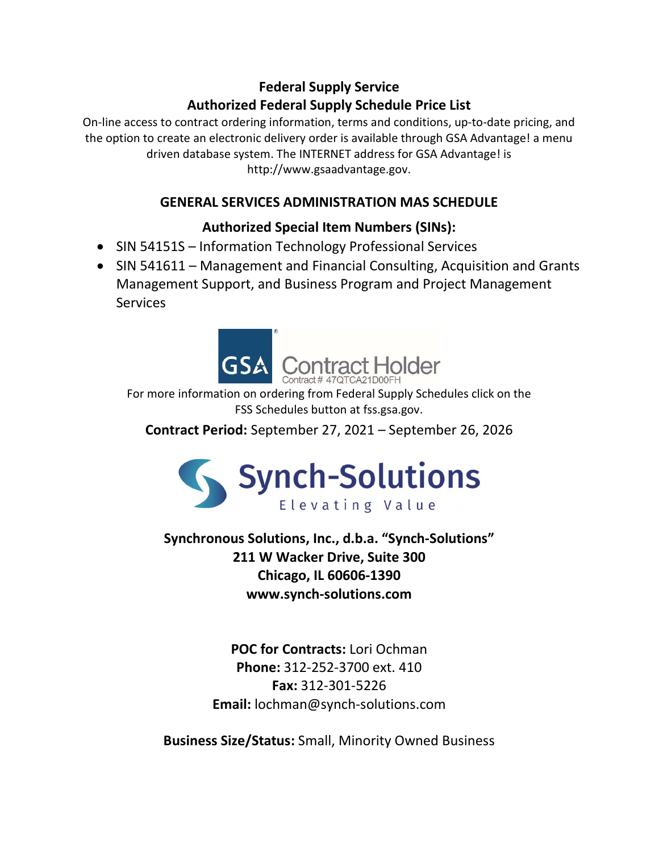# Federal Supply Service Authorized Federal Supply Schedule Price List

On-line access to contract ordering information, terms and conditions, up-to-date pricing, and the option to create an electronic delivery order is available through GSA Advantage! a menu driven database system. The INTERNET address for GSA Advantage! is http://www.gsaadvantage.gov.

# GENERAL SERVICES ADMINISTRATION MAS SCHEDULE

# Authorized Special Item Numbers (SINs):

- SIN 54151S Information Technology Professional Services
- SIN 541611 Management and Financial Consulting, Acquisition and Grants Management Support, and Business Program and Project Management **Services**



For more information on ordering from Federal Supply Schedules click on the FSS Schedules button at fss.gsa.gov.

Contract Period: September 27, 2021 – September 26, 2026



Synchronous Solutions, Inc., d.b.a. "Synch-Solutions" 211 W Wacker Drive, Suite 300 Chicago, IL 60606-1390 www.synch-solutions.com

> POC for Contracts: Lori Ochman Phone: 312-252-3700 ext. 410 Fax: 312-301-5226 Email: lochman@synch-solutions.com

Business Size/Status: Small, Minority Owned Business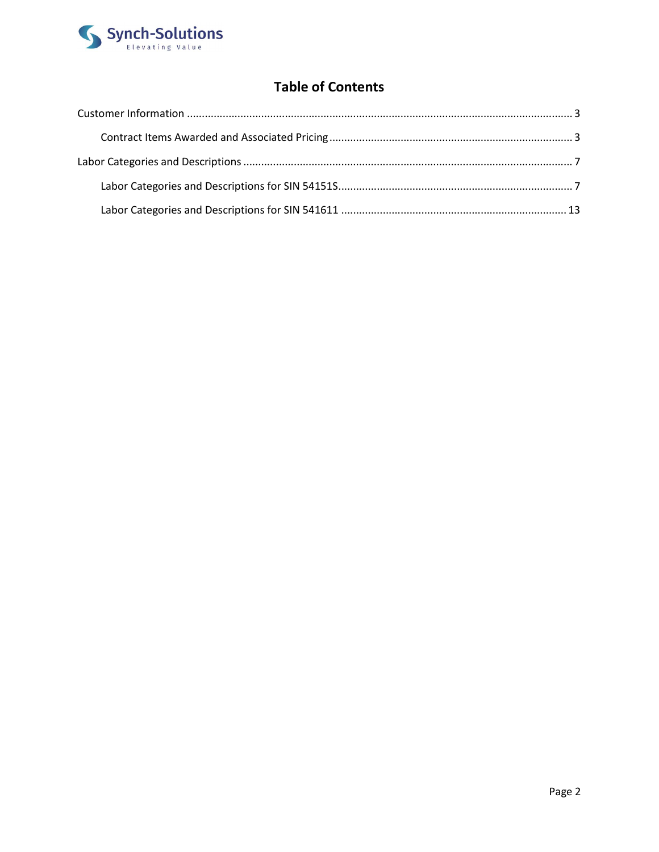

# **Table of Contents**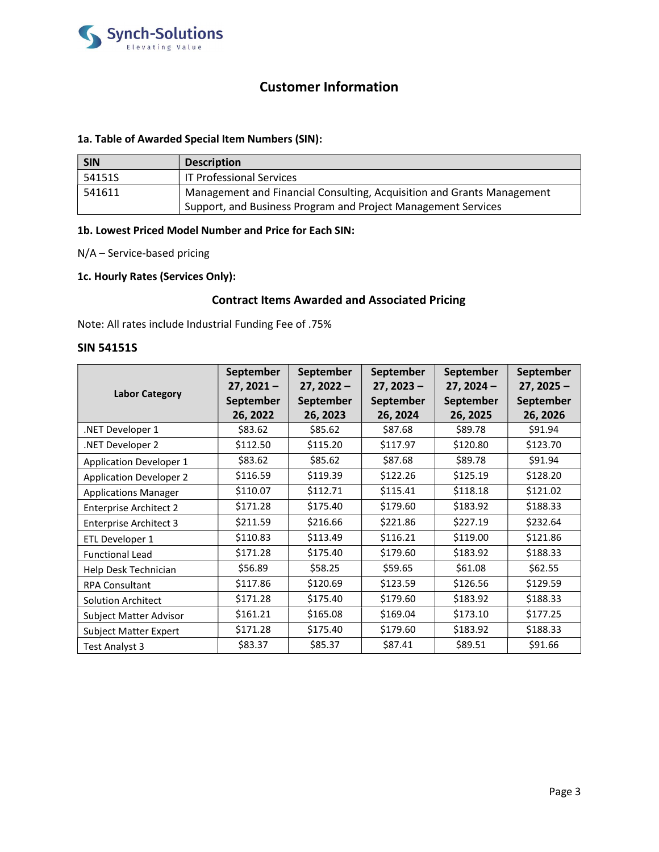

# Customer Information

# 1a. Table of Awarded Special Item Numbers (SIN):

| <b>SIN</b> | <b>Description</b>                                                     |
|------------|------------------------------------------------------------------------|
| 54151S     | <b>IT Professional Services</b>                                        |
| 541611     | Management and Financial Consulting, Acquisition and Grants Management |
|            | Support, and Business Program and Project Management Services          |

# 1b. Lowest Priced Model Number and Price for Each SIN:

N/A – Service-based pricing

# 1c. Hourly Rates (Services Only):

# Contract Items Awarded and Associated Pricing

Note: All rates include Industrial Funding Fee of .75%

#### SIN 54151S

|                                | September    | September        | September    | September    | September        |
|--------------------------------|--------------|------------------|--------------|--------------|------------------|
| <b>Labor Category</b>          | $27, 2021 -$ | $27, 2022 -$     | $27, 2023 -$ | $27, 2024 -$ | $27, 2025 -$     |
|                                | September    | <b>September</b> | September    | September    | <b>September</b> |
|                                | 26, 2022     | 26, 2023         | 26, 2024     | 26, 2025     | 26, 2026         |
| .NET Developer 1               | \$83.62      | \$85.62          | \$87.68      | \$89.78      | \$91.94          |
| NET Developer 2                | \$112.50     | \$115.20         | \$117.97     | \$120.80     | \$123.70         |
| <b>Application Developer 1</b> | \$83.62      | \$85.62          | \$87.68      | \$89.78      | \$91.94          |
| <b>Application Developer 2</b> | \$116.59     | \$119.39         | \$122.26     | \$125.19     | \$128.20         |
| <b>Applications Manager</b>    | \$110.07     | \$112.71         | \$115.41     | \$118.18     | \$121.02         |
| <b>Enterprise Architect 2</b>  | \$171.28     | \$175.40         | \$179.60     | \$183.92     | \$188.33         |
| <b>Enterprise Architect 3</b>  | \$211.59     | \$216.66         | \$221.86     | \$227.19     | \$232.64         |
| ETL Developer 1                | \$110.83     | \$113.49         | \$116.21     | \$119.00     | \$121.86         |
| <b>Functional Lead</b>         | \$171.28     | \$175.40         | \$179.60     | \$183.92     | \$188.33         |
| Help Desk Technician           | \$56.89      | \$58.25          | \$59.65      | \$61.08      | \$62.55          |
| <b>RPA Consultant</b>          | \$117.86     | \$120.69         | \$123.59     | \$126.56     | \$129.59         |
| <b>Solution Architect</b>      | \$171.28     | \$175.40         | \$179.60     | \$183.92     | \$188.33         |
| Subject Matter Advisor         | \$161.21     | \$165.08         | \$169.04     | \$173.10     | \$177.25         |
| <b>Subject Matter Expert</b>   | \$171.28     | \$175.40         | \$179.60     | \$183.92     | \$188.33         |
| Test Analyst 3                 | \$83.37      | \$85.37          | \$87.41      | \$89.51      | \$91.66          |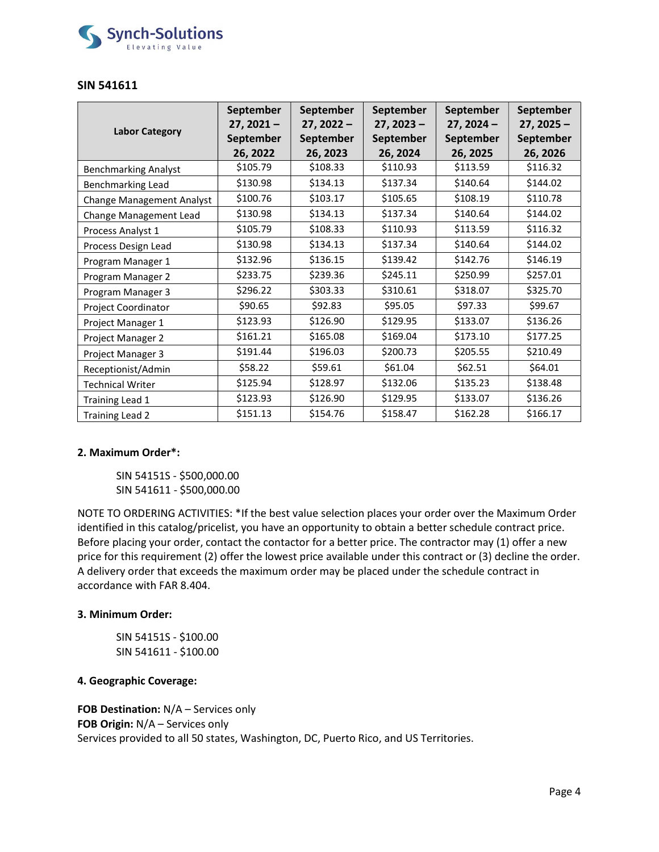

# SIN 541611

|                                  | <b>September</b><br>$27, 2021 -$ | September<br>$27, 2022 -$ | September<br>$27, 2023 -$ | September<br>$27, 2024 -$ | September<br>$27, 2025 -$ |
|----------------------------------|----------------------------------|---------------------------|---------------------------|---------------------------|---------------------------|
| <b>Labor Category</b>            | <b>September</b>                 | September                 | <b>September</b>          | <b>September</b>          | September                 |
|                                  | 26, 2022                         | 26, 2023                  | 26, 2024                  | 26, 2025                  | 26, 2026                  |
| <b>Benchmarking Analyst</b>      | \$105.79                         | \$108.33                  | \$110.93                  | \$113.59                  | \$116.32                  |
| <b>Benchmarking Lead</b>         | \$130.98                         | \$134.13                  | \$137.34                  | \$140.64                  | \$144.02                  |
| <b>Change Management Analyst</b> | \$100.76                         | \$103.17                  | \$105.65                  | \$108.19                  | \$110.78                  |
| Change Management Lead           | \$130.98                         | \$134.13                  | \$137.34                  | \$140.64                  | \$144.02                  |
| Process Analyst 1                | \$105.79                         | \$108.33                  | \$110.93                  | \$113.59                  | \$116.32                  |
| Process Design Lead              | \$130.98                         | \$134.13                  | \$137.34                  | \$140.64                  | \$144.02                  |
| Program Manager 1                | \$132.96                         | \$136.15                  | \$139.42                  | \$142.76                  | \$146.19                  |
| Program Manager 2                | \$233.75                         | \$239.36                  | \$245.11                  | \$250.99                  | \$257.01                  |
| Program Manager 3                | \$296.22                         | \$303.33                  | \$310.61                  | \$318.07                  | \$325.70                  |
| Project Coordinator              | \$90.65                          | \$92.83                   | \$95.05                   | \$97.33                   | \$99.67                   |
| Project Manager 1                | \$123.93                         | \$126.90                  | \$129.95                  | \$133.07                  | \$136.26                  |
| Project Manager 2                | \$161.21                         | \$165.08                  | \$169.04                  | \$173.10                  | \$177.25                  |
| Project Manager 3                | \$191.44                         | \$196.03                  | \$200.73                  | \$205.55                  | \$210.49                  |
| Receptionist/Admin               | \$58.22                          | \$59.61                   | \$61.04                   | \$62.51                   | \$64.01                   |
| <b>Technical Writer</b>          | \$125.94                         | \$128.97                  | \$132.06                  | \$135.23                  | \$138.48                  |
| Training Lead 1                  | \$123.93                         | \$126.90                  | \$129.95                  | \$133.07                  | \$136.26                  |
| Training Lead 2                  | \$151.13                         | \$154.76                  | \$158.47                  | \$162.28                  | \$166.17                  |

## 2. Maximum Order\*:

SIN 54151S - \$500,000.00 SIN 541611 - \$500,000.00

NOTE TO ORDERING ACTIVITIES: \*If the best value selection places your order over the Maximum Order identified in this catalog/pricelist, you have an opportunity to obtain a better schedule contract price. Before placing your order, contact the contactor for a better price. The contractor may (1) offer a new price for this requirement (2) offer the lowest price available under this contract or (3) decline the order. A delivery order that exceeds the maximum order may be placed under the schedule contract in accordance with FAR 8.404.

## 3. Minimum Order:

SIN 54151S - \$100.00 SIN 541611 - \$100.00

# 4. Geographic Coverage:

FOB Destination: N/A - Services only FOB Origin: N/A - Services only Services provided to all 50 states, Washington, DC, Puerto Rico, and US Territories.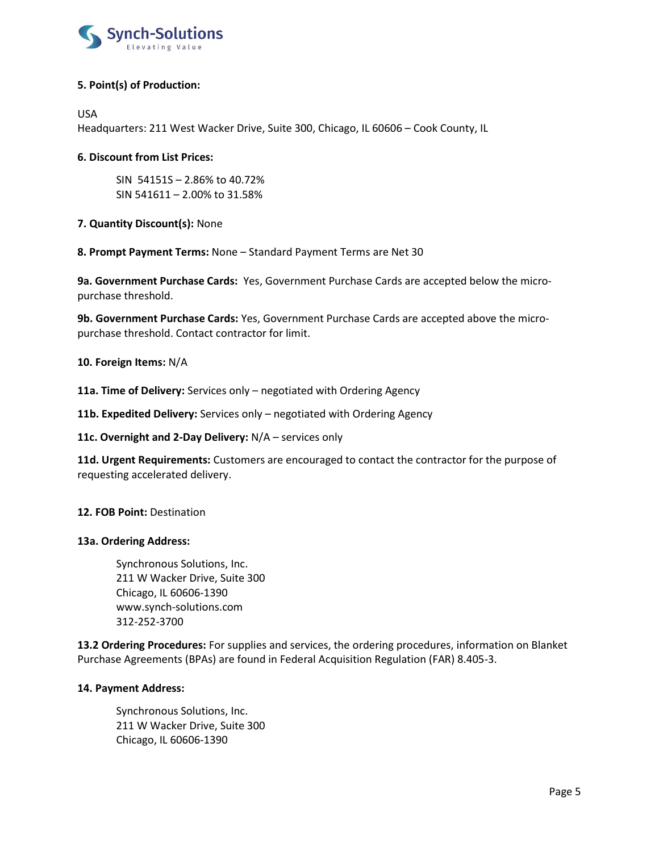

# 5. Point(s) of Production:

USA

Headquarters: 211 West Wacker Drive, Suite 300, Chicago, IL 60606 – Cook County, IL

# 6. Discount from List Prices:

 SIN 54151S – 2.86% to 40.72% SIN 541611 – 2.00% to 31.58%

7. Quantity Discount(s): None

8. Prompt Payment Terms: None – Standard Payment Terms are Net 30

9a. Government Purchase Cards: Yes, Government Purchase Cards are accepted below the micropurchase threshold.

9b. Government Purchase Cards: Yes, Government Purchase Cards are accepted above the micropurchase threshold. Contact contractor for limit.

## 10. Foreign Items: N/A

11a. Time of Delivery: Services only - negotiated with Ordering Agency

11b. Expedited Delivery: Services only - negotiated with Ordering Agency

11c. Overnight and 2-Day Delivery: N/A – services only

11d. Urgent Requirements: Customers are encouraged to contact the contractor for the purpose of requesting accelerated delivery.

## 12. FOB Point: Destination

## 13a. Ordering Address:

Synchronous Solutions, Inc. 211 W Wacker Drive, Suite 300 Chicago, IL 60606-1390 www.synch-solutions.com 312-252-3700

13.2 Ordering Procedures: For supplies and services, the ordering procedures, information on Blanket Purchase Agreements (BPAs) are found in Federal Acquisition Regulation (FAR) 8.405-3.

## 14. Payment Address:

Synchronous Solutions, Inc. 211 W Wacker Drive, Suite 300 Chicago, IL 60606-1390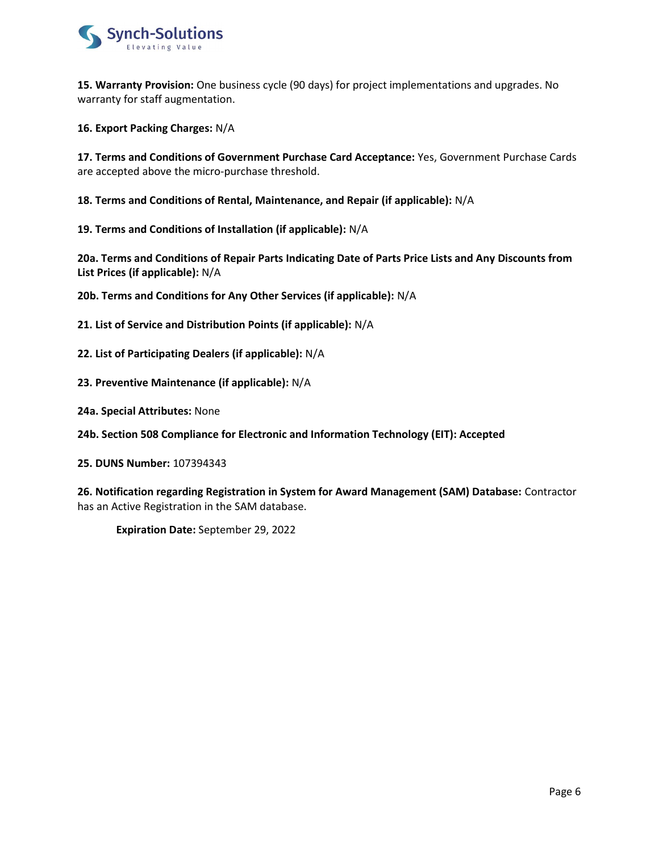

15. Warranty Provision: One business cycle (90 days) for project implementations and upgrades. No warranty for staff augmentation.

16. Export Packing Charges: N/A

17. Terms and Conditions of Government Purchase Card Acceptance: Yes, Government Purchase Cards are accepted above the micro-purchase threshold.

18. Terms and Conditions of Rental, Maintenance, and Repair (if applicable): N/A

19. Terms and Conditions of Installation (if applicable): N/A

20a. Terms and Conditions of Repair Parts Indicating Date of Parts Price Lists and Any Discounts from List Prices (if applicable): N/A

20b. Terms and Conditions for Any Other Services (if applicable): N/A

21. List of Service and Distribution Points (if applicable): N/A

22. List of Participating Dealers (if applicable): N/A

23. Preventive Maintenance (if applicable): N/A

24a. Special Attributes: None

24b. Section 508 Compliance for Electronic and Information Technology (EIT): Accepted

25. DUNS Number: 107394343

26. Notification regarding Registration in System for Award Management (SAM) Database: Contractor has an Active Registration in the SAM database.

Expiration Date: September 29, 2022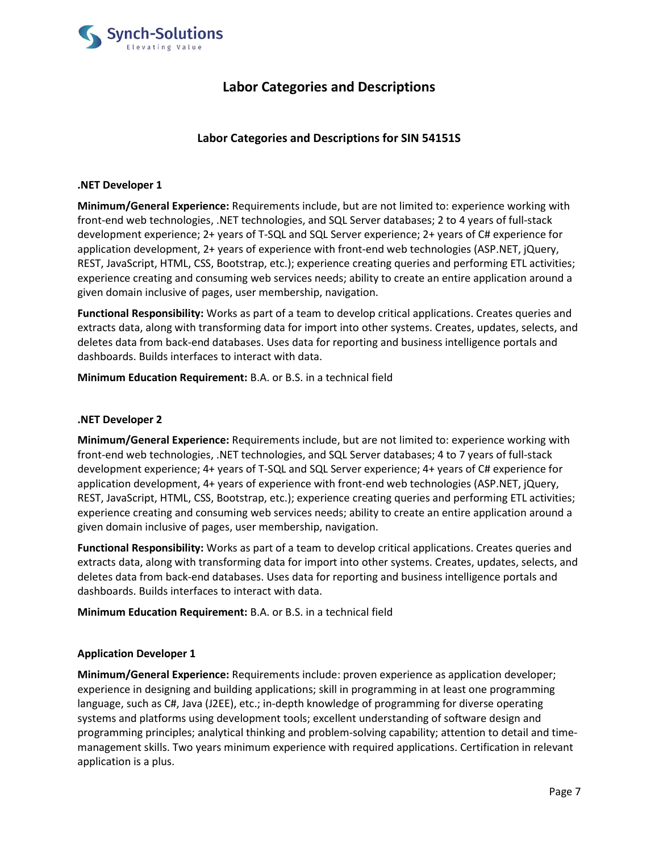

# Labor Categories and Descriptions

# Labor Categories and Descriptions for SIN 54151S

## .NET Developer 1

Minimum/General Experience: Requirements include, but are not limited to: experience working with front-end web technologies, .NET technologies, and SQL Server databases; 2 to 4 years of full-stack development experience; 2+ years of T-SQL and SQL Server experience; 2+ years of C# experience for application development, 2+ years of experience with front-end web technologies (ASP.NET, jQuery, REST, JavaScript, HTML, CSS, Bootstrap, etc.); experience creating queries and performing ETL activities; experience creating and consuming web services needs; ability to create an entire application around a given domain inclusive of pages, user membership, navigation.

Functional Responsibility: Works as part of a team to develop critical applications. Creates queries and extracts data, along with transforming data for import into other systems. Creates, updates, selects, and deletes data from back-end databases. Uses data for reporting and business intelligence portals and dashboards. Builds interfaces to interact with data.

Minimum Education Requirement: B.A. or B.S. in a technical field

# .NET Developer 2

Minimum/General Experience: Requirements include, but are not limited to: experience working with front-end web technologies, .NET technologies, and SQL Server databases; 4 to 7 years of full-stack development experience; 4+ years of T-SQL and SQL Server experience; 4+ years of C# experience for application development, 4+ years of experience with front-end web technologies (ASP.NET, jQuery, REST, JavaScript, HTML, CSS, Bootstrap, etc.); experience creating queries and performing ETL activities; experience creating and consuming web services needs; ability to create an entire application around a given domain inclusive of pages, user membership, navigation.

Functional Responsibility: Works as part of a team to develop critical applications. Creates queries and extracts data, along with transforming data for import into other systems. Creates, updates, selects, and deletes data from back-end databases. Uses data for reporting and business intelligence portals and dashboards. Builds interfaces to interact with data.

Minimum Education Requirement: B.A. or B.S. in a technical field

## Application Developer 1

Minimum/General Experience: Requirements include: proven experience as application developer; experience in designing and building applications; skill in programming in at least one programming language, such as C#, Java (J2EE), etc.; in-depth knowledge of programming for diverse operating systems and platforms using development tools; excellent understanding of software design and programming principles; analytical thinking and problem-solving capability; attention to detail and timemanagement skills. Two years minimum experience with required applications. Certification in relevant application is a plus.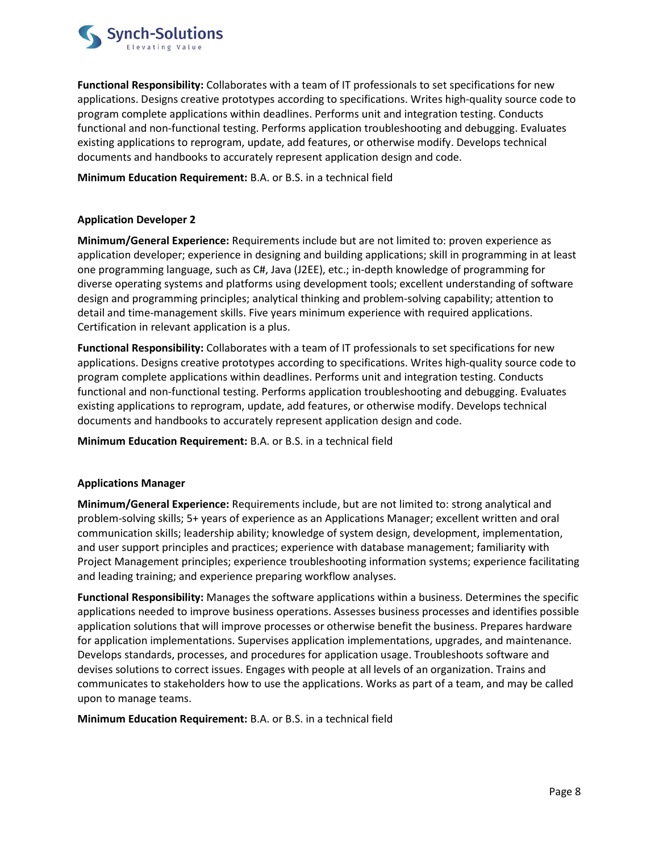

Functional Responsibility: Collaborates with a team of IT professionals to set specifications for new applications. Designs creative prototypes according to specifications. Writes high-quality source code to program complete applications within deadlines. Performs unit and integration testing. Conducts functional and non-functional testing. Performs application troubleshooting and debugging. Evaluates existing applications to reprogram, update, add features, or otherwise modify. Develops technical documents and handbooks to accurately represent application design and code.

# Minimum Education Requirement: B.A. or B.S. in a technical field

# Application Developer 2

Minimum/General Experience: Requirements include but are not limited to: proven experience as application developer; experience in designing and building applications; skill in programming in at least one programming language, such as C#, Java (J2EE), etc.; in-depth knowledge of programming for diverse operating systems and platforms using development tools; excellent understanding of software design and programming principles; analytical thinking and problem-solving capability; attention to detail and time-management skills. Five years minimum experience with required applications. Certification in relevant application is a plus.

Functional Responsibility: Collaborates with a team of IT professionals to set specifications for new applications. Designs creative prototypes according to specifications. Writes high-quality source code to program complete applications within deadlines. Performs unit and integration testing. Conducts functional and non-functional testing. Performs application troubleshooting and debugging. Evaluates existing applications to reprogram, update, add features, or otherwise modify. Develops technical documents and handbooks to accurately represent application design and code.

Minimum Education Requirement: B.A. or B.S. in a technical field

## Applications Manager

Minimum/General Experience: Requirements include, but are not limited to: strong analytical and problem-solving skills; 5+ years of experience as an Applications Manager; excellent written and oral communication skills; leadership ability; knowledge of system design, development, implementation, and user support principles and practices; experience with database management; familiarity with Project Management principles; experience troubleshooting information systems; experience facilitating and leading training; and experience preparing workflow analyses.

Functional Responsibility: Manages the software applications within a business. Determines the specific applications needed to improve business operations. Assesses business processes and identifies possible application solutions that will improve processes or otherwise benefit the business. Prepares hardware for application implementations. Supervises application implementations, upgrades, and maintenance. Develops standards, processes, and procedures for application usage. Troubleshoots software and devises solutions to correct issues. Engages with people at all levels of an organization. Trains and communicates to stakeholders how to use the applications. Works as part of a team, and may be called upon to manage teams.

Minimum Education Requirement: B.A. or B.S. in a technical field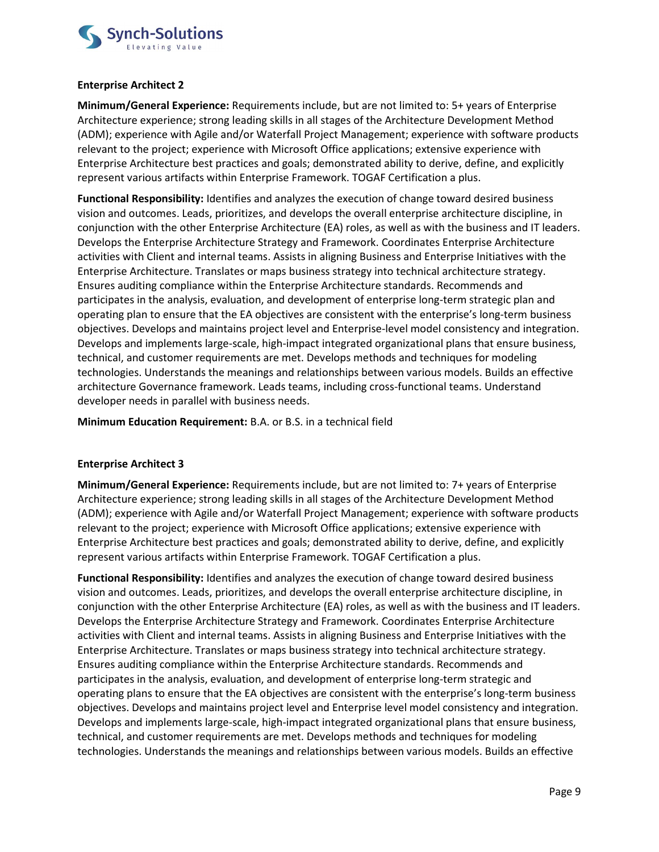

# Enterprise Architect 2

Minimum/General Experience: Requirements include, but are not limited to: 5+ years of Enterprise Architecture experience; strong leading skills in all stages of the Architecture Development Method (ADM); experience with Agile and/or Waterfall Project Management; experience with software products relevant to the project; experience with Microsoft Office applications; extensive experience with Enterprise Architecture best practices and goals; demonstrated ability to derive, define, and explicitly represent various artifacts within Enterprise Framework. TOGAF Certification a plus.

Functional Responsibility: Identifies and analyzes the execution of change toward desired business vision and outcomes. Leads, prioritizes, and develops the overall enterprise architecture discipline, in conjunction with the other Enterprise Architecture (EA) roles, as well as with the business and IT leaders. Develops the Enterprise Architecture Strategy and Framework. Coordinates Enterprise Architecture activities with Client and internal teams. Assists in aligning Business and Enterprise Initiatives with the Enterprise Architecture. Translates or maps business strategy into technical architecture strategy. Ensures auditing compliance within the Enterprise Architecture standards. Recommends and participates in the analysis, evaluation, and development of enterprise long-term strategic plan and operating plan to ensure that the EA objectives are consistent with the enterprise's long-term business objectives. Develops and maintains project level and Enterprise-level model consistency and integration. Develops and implements large-scale, high-impact integrated organizational plans that ensure business, technical, and customer requirements are met. Develops methods and techniques for modeling technologies. Understands the meanings and relationships between various models. Builds an effective architecture Governance framework. Leads teams, including cross-functional teams. Understand developer needs in parallel with business needs.

Minimum Education Requirement: B.A. or B.S. in a technical field

# Enterprise Architect 3

Minimum/General Experience: Requirements include, but are not limited to: 7+ years of Enterprise Architecture experience; strong leading skills in all stages of the Architecture Development Method (ADM); experience with Agile and/or Waterfall Project Management; experience with software products relevant to the project; experience with Microsoft Office applications; extensive experience with Enterprise Architecture best practices and goals; demonstrated ability to derive, define, and explicitly represent various artifacts within Enterprise Framework. TOGAF Certification a plus.

Functional Responsibility: Identifies and analyzes the execution of change toward desired business vision and outcomes. Leads, prioritizes, and develops the overall enterprise architecture discipline, in conjunction with the other Enterprise Architecture (EA) roles, as well as with the business and IT leaders. Develops the Enterprise Architecture Strategy and Framework. Coordinates Enterprise Architecture activities with Client and internal teams. Assists in aligning Business and Enterprise Initiatives with the Enterprise Architecture. Translates or maps business strategy into technical architecture strategy. Ensures auditing compliance within the Enterprise Architecture standards. Recommends and participates in the analysis, evaluation, and development of enterprise long-term strategic and operating plans to ensure that the EA objectives are consistent with the enterprise's long-term business objectives. Develops and maintains project level and Enterprise level model consistency and integration. Develops and implements large-scale, high-impact integrated organizational plans that ensure business, technical, and customer requirements are met. Develops methods and techniques for modeling technologies. Understands the meanings and relationships between various models. Builds an effective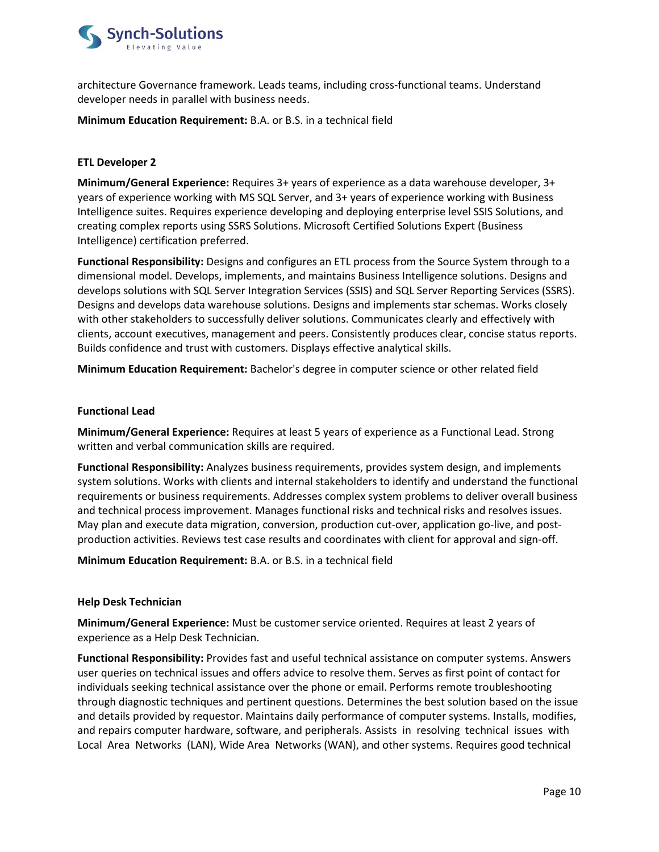

architecture Governance framework. Leads teams, including cross-functional teams. Understand developer needs in parallel with business needs.

## Minimum Education Requirement: B.A. or B.S. in a technical field

# ETL Developer 2

Minimum/General Experience: Requires 3+ years of experience as a data warehouse developer, 3+ years of experience working with MS SQL Server, and 3+ years of experience working with Business Intelligence suites. Requires experience developing and deploying enterprise level SSIS Solutions, and creating complex reports using SSRS Solutions. Microsoft Certified Solutions Expert (Business Intelligence) certification preferred.

Functional Responsibility: Designs and configures an ETL process from the Source System through to a dimensional model. Develops, implements, and maintains Business Intelligence solutions. Designs and develops solutions with SQL Server Integration Services (SSIS) and SQL Server Reporting Services (SSRS). Designs and develops data warehouse solutions. Designs and implements star schemas. Works closely with other stakeholders to successfully deliver solutions. Communicates clearly and effectively with clients, account executives, management and peers. Consistently produces clear, concise status reports. Builds confidence and trust with customers. Displays effective analytical skills.

Minimum Education Requirement: Bachelor's degree in computer science or other related field

#### Functional Lead

Minimum/General Experience: Requires at least 5 years of experience as a Functional Lead. Strong written and verbal communication skills are required.

Functional Responsibility: Analyzes business requirements, provides system design, and implements system solutions. Works with clients and internal stakeholders to identify and understand the functional requirements or business requirements. Addresses complex system problems to deliver overall business and technical process improvement. Manages functional risks and technical risks and resolves issues. May plan and execute data migration, conversion, production cut-over, application go-live, and postproduction activities. Reviews test case results and coordinates with client for approval and sign-off.

Minimum Education Requirement: B.A. or B.S. in a technical field

## Help Desk Technician

Minimum/General Experience: Must be customer service oriented. Requires at least 2 years of experience as a Help Desk Technician.

Functional Responsibility: Provides fast and useful technical assistance on computer systems. Answers user queries on technical issues and offers advice to resolve them. Serves as first point of contact for individuals seeking technical assistance over the phone or email. Performs remote troubleshooting through diagnostic techniques and pertinent questions. Determines the best solution based on the issue and details provided by requestor. Maintains daily performance of computer systems. Installs, modifies, and repairs computer hardware, software, and peripherals. Assists in resolving technical issues with Local Area Networks (LAN), Wide Area Networks (WAN), and other systems. Requires good technical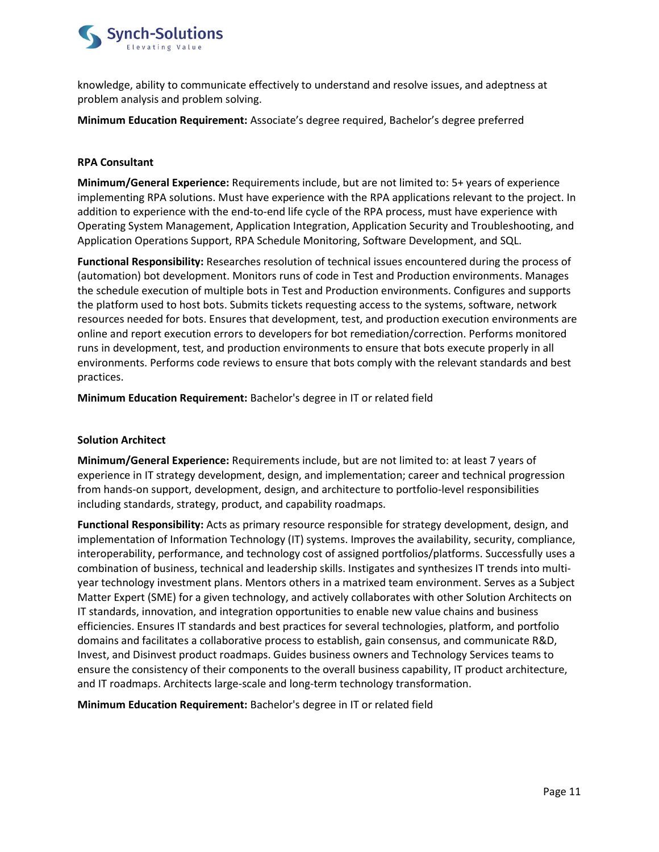

knowledge, ability to communicate effectively to understand and resolve issues, and adeptness at problem analysis and problem solving.

Minimum Education Requirement: Associate's degree required, Bachelor's degree preferred

## RPA Consultant

Minimum/General Experience: Requirements include, but are not limited to: 5+ years of experience implementing RPA solutions. Must have experience with the RPA applications relevant to the project. In addition to experience with the end-to-end life cycle of the RPA process, must have experience with Operating System Management, Application Integration, Application Security and Troubleshooting, and Application Operations Support, RPA Schedule Monitoring, Software Development, and SQL.

Functional Responsibility: Researches resolution of technical issues encountered during the process of (automation) bot development. Monitors runs of code in Test and Production environments. Manages the schedule execution of multiple bots in Test and Production environments. Configures and supports the platform used to host bots. Submits tickets requesting access to the systems, software, network resources needed for bots. Ensures that development, test, and production execution environments are online and report execution errors to developers for bot remediation/correction. Performs monitored runs in development, test, and production environments to ensure that bots execute properly in all environments. Performs code reviews to ensure that bots comply with the relevant standards and best practices.

Minimum Education Requirement: Bachelor's degree in IT or related field

## Solution Architect

Minimum/General Experience: Requirements include, but are not limited to: at least 7 years of experience in IT strategy development, design, and implementation; career and technical progression from hands-on support, development, design, and architecture to portfolio-level responsibilities including standards, strategy, product, and capability roadmaps.

Functional Responsibility: Acts as primary resource responsible for strategy development, design, and implementation of Information Technology (IT) systems. Improves the availability, security, compliance, interoperability, performance, and technology cost of assigned portfolios/platforms. Successfully uses a combination of business, technical and leadership skills. Instigates and synthesizes IT trends into multiyear technology investment plans. Mentors others in a matrixed team environment. Serves as a Subject Matter Expert (SME) for a given technology, and actively collaborates with other Solution Architects on IT standards, innovation, and integration opportunities to enable new value chains and business efficiencies. Ensures IT standards and best practices for several technologies, platform, and portfolio domains and facilitates a collaborative process to establish, gain consensus, and communicate R&D, Invest, and Disinvest product roadmaps. Guides business owners and Technology Services teams to ensure the consistency of their components to the overall business capability, IT product architecture, and IT roadmaps. Architects large-scale and long-term technology transformation.

Minimum Education Requirement: Bachelor's degree in IT or related field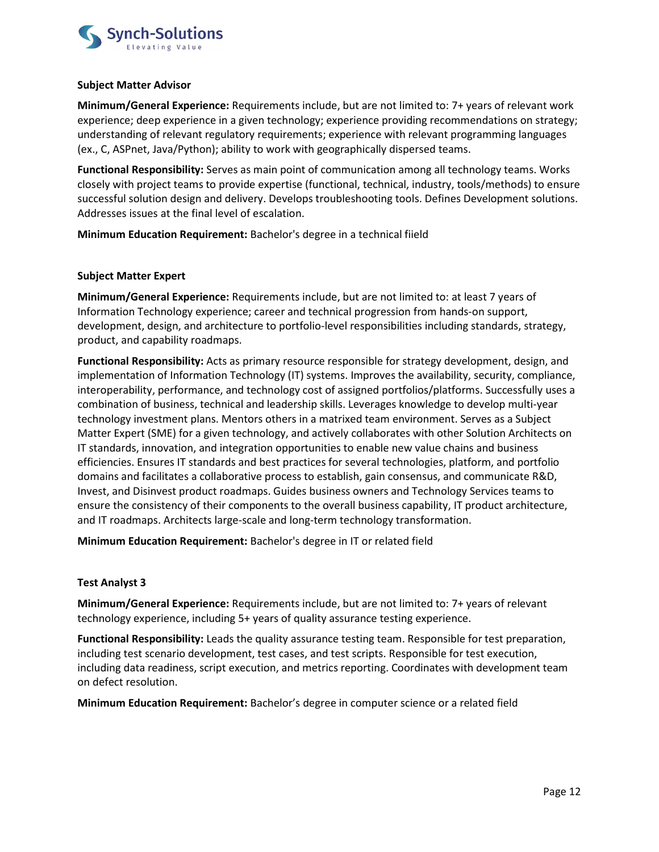

## Subject Matter Advisor

Minimum/General Experience: Requirements include, but are not limited to: 7+ years of relevant work experience; deep experience in a given technology; experience providing recommendations on strategy; understanding of relevant regulatory requirements; experience with relevant programming languages (ex., C, ASPnet, Java/Python); ability to work with geographically dispersed teams.

Functional Responsibility: Serves as main point of communication among all technology teams. Works closely with project teams to provide expertise (functional, technical, industry, tools/methods) to ensure successful solution design and delivery. Develops troubleshooting tools. Defines Development solutions. Addresses issues at the final level of escalation.

Minimum Education Requirement: Bachelor's degree in a technical fiield

# Subject Matter Expert

Minimum/General Experience: Requirements include, but are not limited to: at least 7 years of Information Technology experience; career and technical progression from hands-on support, development, design, and architecture to portfolio-level responsibilities including standards, strategy, product, and capability roadmaps.

Functional Responsibility: Acts as primary resource responsible for strategy development, design, and implementation of Information Technology (IT) systems. Improves the availability, security, compliance, interoperability, performance, and technology cost of assigned portfolios/platforms. Successfully uses a combination of business, technical and leadership skills. Leverages knowledge to develop multi-year technology investment plans. Mentors others in a matrixed team environment. Serves as a Subject Matter Expert (SME) for a given technology, and actively collaborates with other Solution Architects on IT standards, innovation, and integration opportunities to enable new value chains and business efficiencies. Ensures IT standards and best practices for several technologies, platform, and portfolio domains and facilitates a collaborative process to establish, gain consensus, and communicate R&D, Invest, and Disinvest product roadmaps. Guides business owners and Technology Services teams to ensure the consistency of their components to the overall business capability, IT product architecture, and IT roadmaps. Architects large-scale and long-term technology transformation.

Minimum Education Requirement: Bachelor's degree in IT or related field

## Test Analyst 3

Minimum/General Experience: Requirements include, but are not limited to: 7+ years of relevant technology experience, including 5+ years of quality assurance testing experience.

Functional Responsibility: Leads the quality assurance testing team. Responsible for test preparation, including test scenario development, test cases, and test scripts. Responsible for test execution, including data readiness, script execution, and metrics reporting. Coordinates with development team on defect resolution.

Minimum Education Requirement: Bachelor's degree in computer science or a related field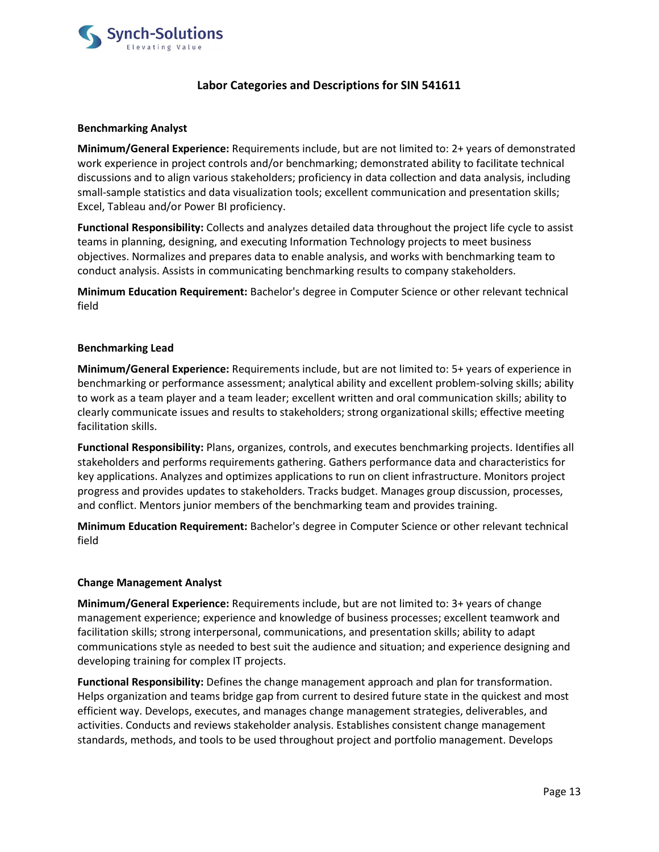

# Labor Categories and Descriptions for SIN 541611

# Benchmarking Analyst

Minimum/General Experience: Requirements include, but are not limited to: 2+ years of demonstrated work experience in project controls and/or benchmarking; demonstrated ability to facilitate technical discussions and to align various stakeholders; proficiency in data collection and data analysis, including small-sample statistics and data visualization tools; excellent communication and presentation skills; Excel, Tableau and/or Power BI proficiency.

Functional Responsibility: Collects and analyzes detailed data throughout the project life cycle to assist teams in planning, designing, and executing Information Technology projects to meet business objectives. Normalizes and prepares data to enable analysis, and works with benchmarking team to conduct analysis. Assists in communicating benchmarking results to company stakeholders.

Minimum Education Requirement: Bachelor's degree in Computer Science or other relevant technical field

## Benchmarking Lead

Minimum/General Experience: Requirements include, but are not limited to: 5+ years of experience in benchmarking or performance assessment; analytical ability and excellent problem-solving skills; ability to work as a team player and a team leader; excellent written and oral communication skills; ability to clearly communicate issues and results to stakeholders; strong organizational skills; effective meeting facilitation skills.

Functional Responsibility: Plans, organizes, controls, and executes benchmarking projects. Identifies all stakeholders and performs requirements gathering. Gathers performance data and characteristics for key applications. Analyzes and optimizes applications to run on client infrastructure. Monitors project progress and provides updates to stakeholders. Tracks budget. Manages group discussion, processes, and conflict. Mentors junior members of the benchmarking team and provides training.

Minimum Education Requirement: Bachelor's degree in Computer Science or other relevant technical field

## Change Management Analyst

Minimum/General Experience: Requirements include, but are not limited to: 3+ years of change management experience; experience and knowledge of business processes; excellent teamwork and facilitation skills; strong interpersonal, communications, and presentation skills; ability to adapt communications style as needed to best suit the audience and situation; and experience designing and developing training for complex IT projects.

Functional Responsibility: Defines the change management approach and plan for transformation. Helps organization and teams bridge gap from current to desired future state in the quickest and most efficient way. Develops, executes, and manages change management strategies, deliverables, and activities. Conducts and reviews stakeholder analysis. Establishes consistent change management standards, methods, and tools to be used throughout project and portfolio management. Develops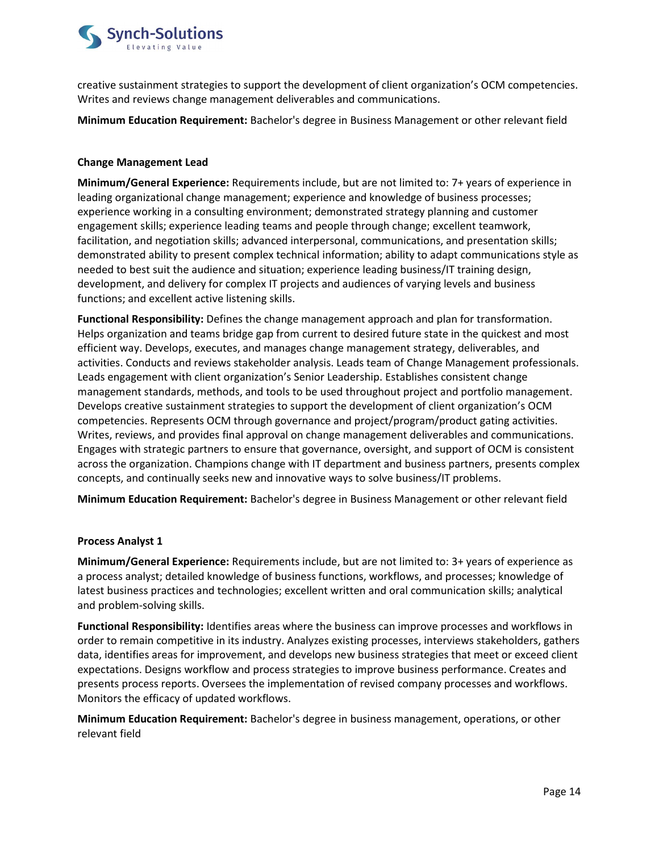

creative sustainment strategies to support the development of client organization's OCM competencies. Writes and reviews change management deliverables and communications.

Minimum Education Requirement: Bachelor's degree in Business Management or other relevant field

# Change Management Lead

Minimum/General Experience: Requirements include, but are not limited to: 7+ years of experience in leading organizational change management; experience and knowledge of business processes; experience working in a consulting environment; demonstrated strategy planning and customer engagement skills; experience leading teams and people through change; excellent teamwork, facilitation, and negotiation skills; advanced interpersonal, communications, and presentation skills; demonstrated ability to present complex technical information; ability to adapt communications style as needed to best suit the audience and situation; experience leading business/IT training design, development, and delivery for complex IT projects and audiences of varying levels and business functions; and excellent active listening skills.

Functional Responsibility: Defines the change management approach and plan for transformation. Helps organization and teams bridge gap from current to desired future state in the quickest and most efficient way. Develops, executes, and manages change management strategy, deliverables, and activities. Conducts and reviews stakeholder analysis. Leads team of Change Management professionals. Leads engagement with client organization's Senior Leadership. Establishes consistent change management standards, methods, and tools to be used throughout project and portfolio management. Develops creative sustainment strategies to support the development of client organization's OCM competencies. Represents OCM through governance and project/program/product gating activities. Writes, reviews, and provides final approval on change management deliverables and communications. Engages with strategic partners to ensure that governance, oversight, and support of OCM is consistent across the organization. Champions change with IT department and business partners, presents complex concepts, and continually seeks new and innovative ways to solve business/IT problems.

Minimum Education Requirement: Bachelor's degree in Business Management or other relevant field

## Process Analyst 1

Minimum/General Experience: Requirements include, but are not limited to: 3+ years of experience as a process analyst; detailed knowledge of business functions, workflows, and processes; knowledge of latest business practices and technologies; excellent written and oral communication skills; analytical and problem-solving skills.

Functional Responsibility: Identifies areas where the business can improve processes and workflows in order to remain competitive in its industry. Analyzes existing processes, interviews stakeholders, gathers data, identifies areas for improvement, and develops new business strategies that meet or exceed client expectations. Designs workflow and process strategies to improve business performance. Creates and presents process reports. Oversees the implementation of revised company processes and workflows. Monitors the efficacy of updated workflows.

Minimum Education Requirement: Bachelor's degree in business management, operations, or other relevant field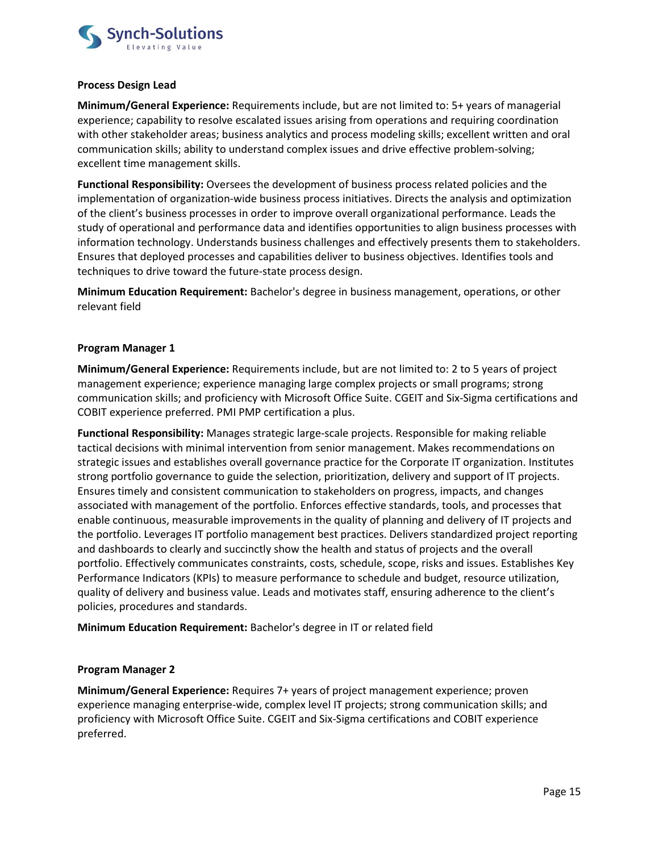

#### Process Design Lead

Minimum/General Experience: Requirements include, but are not limited to: 5+ years of managerial experience; capability to resolve escalated issues arising from operations and requiring coordination with other stakeholder areas; business analytics and process modeling skills; excellent written and oral communication skills; ability to understand complex issues and drive effective problem-solving; excellent time management skills.

Functional Responsibility: Oversees the development of business process related policies and the implementation of organization-wide business process initiatives. Directs the analysis and optimization of the client's business processes in order to improve overall organizational performance. Leads the study of operational and performance data and identifies opportunities to align business processes with information technology. Understands business challenges and effectively presents them to stakeholders. Ensures that deployed processes and capabilities deliver to business objectives. Identifies tools and techniques to drive toward the future-state process design.

Minimum Education Requirement: Bachelor's degree in business management, operations, or other relevant field

## Program Manager 1

Minimum/General Experience: Requirements include, but are not limited to: 2 to 5 years of project management experience; experience managing large complex projects or small programs; strong communication skills; and proficiency with Microsoft Office Suite. CGEIT and Six-Sigma certifications and COBIT experience preferred. PMI PMP certification a plus.

Functional Responsibility: Manages strategic large-scale projects. Responsible for making reliable tactical decisions with minimal intervention from senior management. Makes recommendations on strategic issues and establishes overall governance practice for the Corporate IT organization. Institutes strong portfolio governance to guide the selection, prioritization, delivery and support of IT projects. Ensures timely and consistent communication to stakeholders on progress, impacts, and changes associated with management of the portfolio. Enforces effective standards, tools, and processes that enable continuous, measurable improvements in the quality of planning and delivery of IT projects and the portfolio. Leverages IT portfolio management best practices. Delivers standardized project reporting and dashboards to clearly and succinctly show the health and status of projects and the overall portfolio. Effectively communicates constraints, costs, schedule, scope, risks and issues. Establishes Key Performance Indicators (KPIs) to measure performance to schedule and budget, resource utilization, quality of delivery and business value. Leads and motivates staff, ensuring adherence to the client's policies, procedures and standards.

Minimum Education Requirement: Bachelor's degree in IT or related field

## Program Manager 2

Minimum/General Experience: Requires 7+ years of project management experience; proven experience managing enterprise-wide, complex level IT projects; strong communication skills; and proficiency with Microsoft Office Suite. CGEIT and Six-Sigma certifications and COBIT experience preferred.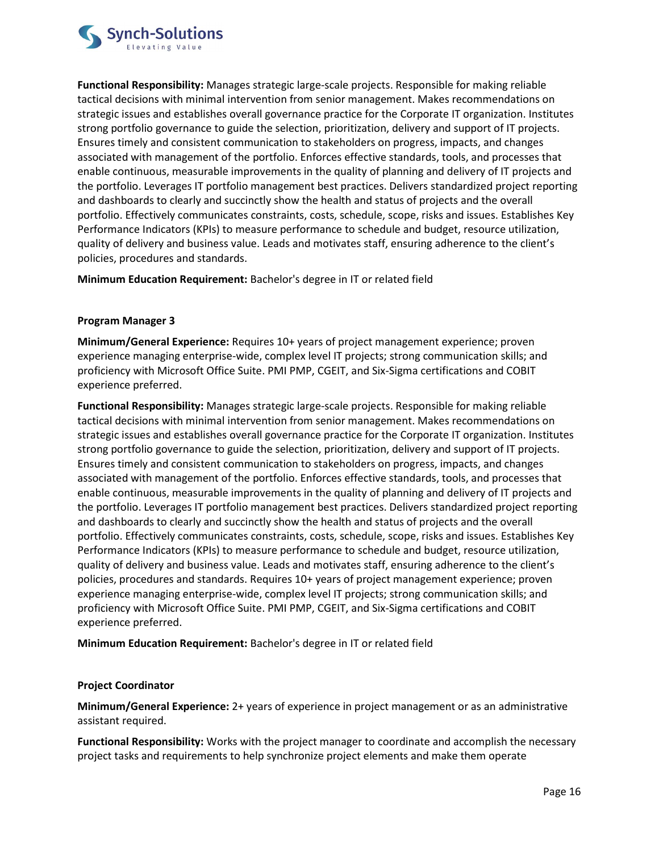

Functional Responsibility: Manages strategic large-scale projects. Responsible for making reliable tactical decisions with minimal intervention from senior management. Makes recommendations on strategic issues and establishes overall governance practice for the Corporate IT organization. Institutes strong portfolio governance to guide the selection, prioritization, delivery and support of IT projects. Ensures timely and consistent communication to stakeholders on progress, impacts, and changes associated with management of the portfolio. Enforces effective standards, tools, and processes that enable continuous, measurable improvements in the quality of planning and delivery of IT projects and the portfolio. Leverages IT portfolio management best practices. Delivers standardized project reporting and dashboards to clearly and succinctly show the health and status of projects and the overall portfolio. Effectively communicates constraints, costs, schedule, scope, risks and issues. Establishes Key Performance Indicators (KPIs) to measure performance to schedule and budget, resource utilization, quality of delivery and business value. Leads and motivates staff, ensuring adherence to the client's policies, procedures and standards.

Minimum Education Requirement: Bachelor's degree in IT or related field

# Program Manager 3

Minimum/General Experience: Requires 10+ years of project management experience; proven experience managing enterprise-wide, complex level IT projects; strong communication skills; and proficiency with Microsoft Office Suite. PMI PMP, CGEIT, and Six-Sigma certifications and COBIT experience preferred.

Functional Responsibility: Manages strategic large-scale projects. Responsible for making reliable tactical decisions with minimal intervention from senior management. Makes recommendations on strategic issues and establishes overall governance practice for the Corporate IT organization. Institutes strong portfolio governance to guide the selection, prioritization, delivery and support of IT projects. Ensures timely and consistent communication to stakeholders on progress, impacts, and changes associated with management of the portfolio. Enforces effective standards, tools, and processes that enable continuous, measurable improvements in the quality of planning and delivery of IT projects and the portfolio. Leverages IT portfolio management best practices. Delivers standardized project reporting and dashboards to clearly and succinctly show the health and status of projects and the overall portfolio. Effectively communicates constraints, costs, schedule, scope, risks and issues. Establishes Key Performance Indicators (KPIs) to measure performance to schedule and budget, resource utilization, quality of delivery and business value. Leads and motivates staff, ensuring adherence to the client's policies, procedures and standards. Requires 10+ years of project management experience; proven experience managing enterprise-wide, complex level IT projects; strong communication skills; and proficiency with Microsoft Office Suite. PMI PMP, CGEIT, and Six-Sigma certifications and COBIT experience preferred.

Minimum Education Requirement: Bachelor's degree in IT or related field

# Project Coordinator

Minimum/General Experience: 2+ years of experience in project management or as an administrative assistant required.

Functional Responsibility: Works with the project manager to coordinate and accomplish the necessary project tasks and requirements to help synchronize project elements and make them operate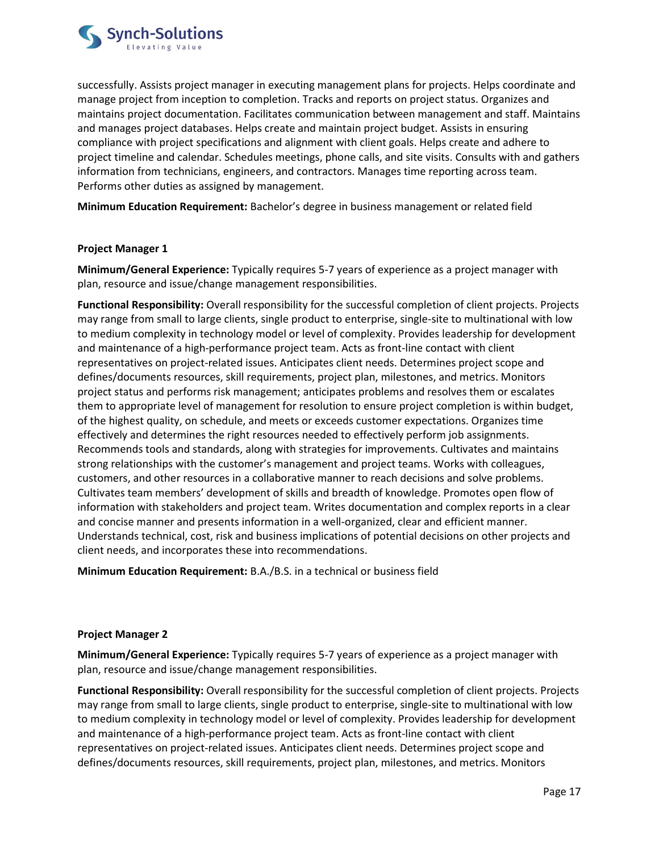

successfully. Assists project manager in executing management plans for projects. Helps coordinate and manage project from inception to completion. Tracks and reports on project status. Organizes and maintains project documentation. Facilitates communication between management and staff. Maintains and manages project databases. Helps create and maintain project budget. Assists in ensuring compliance with project specifications and alignment with client goals. Helps create and adhere to project timeline and calendar. Schedules meetings, phone calls, and site visits. Consults with and gathers information from technicians, engineers, and contractors. Manages time reporting across team. Performs other duties as assigned by management.

Minimum Education Requirement: Bachelor's degree in business management or related field

## Project Manager 1

Minimum/General Experience: Typically requires 5-7 years of experience as a project manager with plan, resource and issue/change management responsibilities.

Functional Responsibility: Overall responsibility for the successful completion of client projects. Projects may range from small to large clients, single product to enterprise, single-site to multinational with low to medium complexity in technology model or level of complexity. Provides leadership for development and maintenance of a high-performance project team. Acts as front-line contact with client representatives on project-related issues. Anticipates client needs. Determines project scope and defines/documents resources, skill requirements, project plan, milestones, and metrics. Monitors project status and performs risk management; anticipates problems and resolves them or escalates them to appropriate level of management for resolution to ensure project completion is within budget, of the highest quality, on schedule, and meets or exceeds customer expectations. Organizes time effectively and determines the right resources needed to effectively perform job assignments. Recommends tools and standards, along with strategies for improvements. Cultivates and maintains strong relationships with the customer's management and project teams. Works with colleagues, customers, and other resources in a collaborative manner to reach decisions and solve problems. Cultivates team members' development of skills and breadth of knowledge. Promotes open flow of information with stakeholders and project team. Writes documentation and complex reports in a clear and concise manner and presents information in a well-organized, clear and efficient manner. Understands technical, cost, risk and business implications of potential decisions on other projects and client needs, and incorporates these into recommendations.

Minimum Education Requirement: B.A./B.S. in a technical or business field

## Project Manager 2

Minimum/General Experience: Typically requires 5-7 years of experience as a project manager with plan, resource and issue/change management responsibilities.

Functional Responsibility: Overall responsibility for the successful completion of client projects. Projects may range from small to large clients, single product to enterprise, single-site to multinational with low to medium complexity in technology model or level of complexity. Provides leadership for development and maintenance of a high-performance project team. Acts as front-line contact with client representatives on project-related issues. Anticipates client needs. Determines project scope and defines/documents resources, skill requirements, project plan, milestones, and metrics. Monitors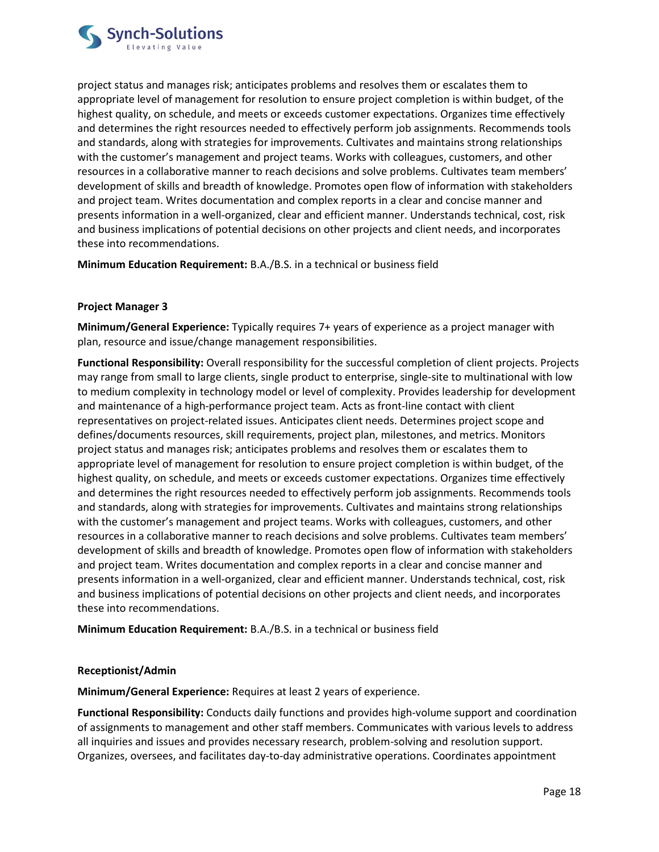

project status and manages risk; anticipates problems and resolves them or escalates them to appropriate level of management for resolution to ensure project completion is within budget, of the highest quality, on schedule, and meets or exceeds customer expectations. Organizes time effectively and determines the right resources needed to effectively perform job assignments. Recommends tools and standards, along with strategies for improvements. Cultivates and maintains strong relationships with the customer's management and project teams. Works with colleagues, customers, and other resources in a collaborative manner to reach decisions and solve problems. Cultivates team members' development of skills and breadth of knowledge. Promotes open flow of information with stakeholders and project team. Writes documentation and complex reports in a clear and concise manner and presents information in a well-organized, clear and efficient manner. Understands technical, cost, risk and business implications of potential decisions on other projects and client needs, and incorporates these into recommendations.

Minimum Education Requirement: B.A./B.S. in a technical or business field

# Project Manager 3

Minimum/General Experience: Typically requires 7+ years of experience as a project manager with plan, resource and issue/change management responsibilities.

Functional Responsibility: Overall responsibility for the successful completion of client projects. Projects may range from small to large clients, single product to enterprise, single-site to multinational with low to medium complexity in technology model or level of complexity. Provides leadership for development and maintenance of a high-performance project team. Acts as front-line contact with client representatives on project-related issues. Anticipates client needs. Determines project scope and defines/documents resources, skill requirements, project plan, milestones, and metrics. Monitors project status and manages risk; anticipates problems and resolves them or escalates them to appropriate level of management for resolution to ensure project completion is within budget, of the highest quality, on schedule, and meets or exceeds customer expectations. Organizes time effectively and determines the right resources needed to effectively perform job assignments. Recommends tools and standards, along with strategies for improvements. Cultivates and maintains strong relationships with the customer's management and project teams. Works with colleagues, customers, and other resources in a collaborative manner to reach decisions and solve problems. Cultivates team members' development of skills and breadth of knowledge. Promotes open flow of information with stakeholders and project team. Writes documentation and complex reports in a clear and concise manner and presents information in a well-organized, clear and efficient manner. Understands technical, cost, risk and business implications of potential decisions on other projects and client needs, and incorporates these into recommendations.

Minimum Education Requirement: B.A./B.S. in a technical or business field

## Receptionist/Admin

Minimum/General Experience: Requires at least 2 years of experience.

Functional Responsibility: Conducts daily functions and provides high-volume support and coordination of assignments to management and other staff members. Communicates with various levels to address all inquiries and issues and provides necessary research, problem-solving and resolution support. Organizes, oversees, and facilitates day-to-day administrative operations. Coordinates appointment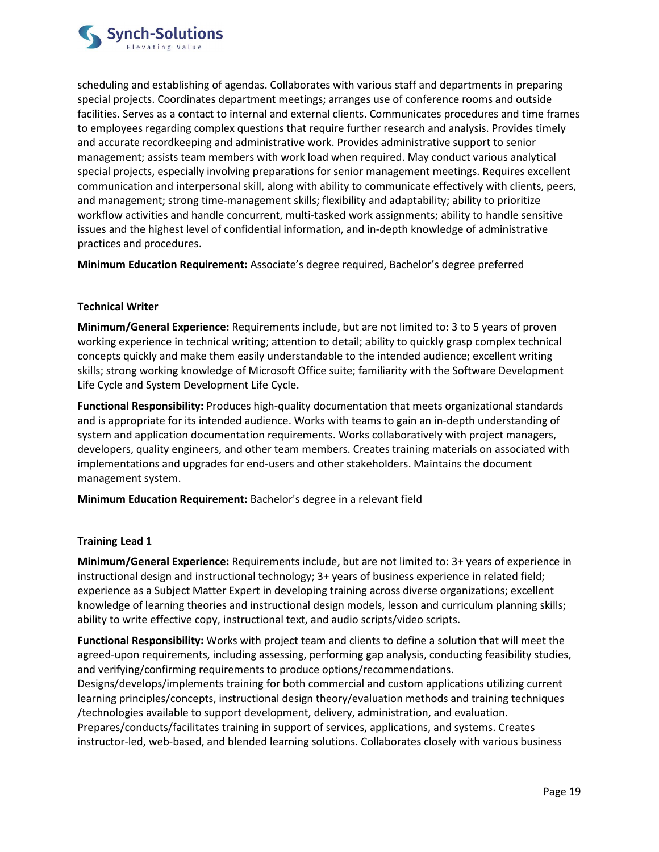

scheduling and establishing of agendas. Collaborates with various staff and departments in preparing special projects. Coordinates department meetings; arranges use of conference rooms and outside facilities. Serves as a contact to internal and external clients. Communicates procedures and time frames to employees regarding complex questions that require further research and analysis. Provides timely and accurate recordkeeping and administrative work. Provides administrative support to senior management; assists team members with work load when required. May conduct various analytical special projects, especially involving preparations for senior management meetings. Requires excellent communication and interpersonal skill, along with ability to communicate effectively with clients, peers, and management; strong time-management skills; flexibility and adaptability; ability to prioritize workflow activities and handle concurrent, multi-tasked work assignments; ability to handle sensitive issues and the highest level of confidential information, and in-depth knowledge of administrative practices and procedures.

Minimum Education Requirement: Associate's degree required, Bachelor's degree preferred

# Technical Writer

Minimum/General Experience: Requirements include, but are not limited to: 3 to 5 years of proven working experience in technical writing; attention to detail; ability to quickly grasp complex technical concepts quickly and make them easily understandable to the intended audience; excellent writing skills; strong working knowledge of Microsoft Office suite; familiarity with the Software Development Life Cycle and System Development Life Cycle.

Functional Responsibility: Produces high-quality documentation that meets organizational standards and is appropriate for its intended audience. Works with teams to gain an in-depth understanding of system and application documentation requirements. Works collaboratively with project managers, developers, quality engineers, and other team members. Creates training materials on associated with implementations and upgrades for end-users and other stakeholders. Maintains the document management system.

Minimum Education Requirement: Bachelor's degree in a relevant field

## Training Lead 1

Minimum/General Experience: Requirements include, but are not limited to: 3+ years of experience in instructional design and instructional technology; 3+ years of business experience in related field; experience as a Subject Matter Expert in developing training across diverse organizations; excellent knowledge of learning theories and instructional design models, lesson and curriculum planning skills; ability to write effective copy, instructional text, and audio scripts/video scripts.

Functional Responsibility: Works with project team and clients to define a solution that will meet the agreed-upon requirements, including assessing, performing gap analysis, conducting feasibility studies, and verifying/confirming requirements to produce options/recommendations. Designs/develops/implements training for both commercial and custom applications utilizing current learning principles/concepts, instructional design theory/evaluation methods and training techniques /technologies available to support development, delivery, administration, and evaluation. Prepares/conducts/facilitates training in support of services, applications, and systems. Creates

instructor-led, web-based, and blended learning solutions. Collaborates closely with various business